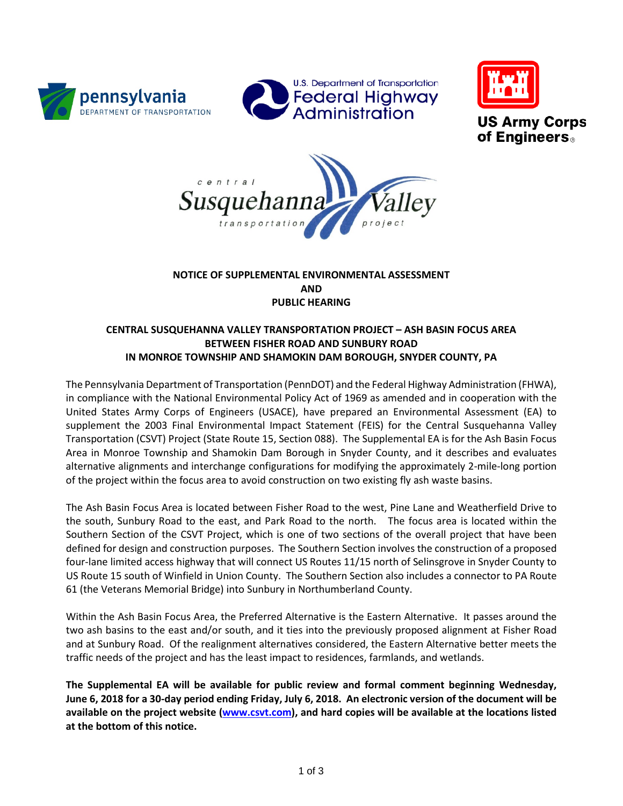







# **NOTICE OF SUPPLEMENTAL ENVIRONMENTAL ASSESSMENT AND PUBLIC HEARING**

# **CENTRAL SUSQUEHANNA VALLEY TRANSPORTATION PROJECT – ASH BASIN FOCUS AREA BETWEEN FISHER ROAD AND SUNBURY ROAD IN MONROE TOWNSHIP AND SHAMOKIN DAM BOROUGH, SNYDER COUNTY, PA**

The Pennsylvania Department of Transportation (PennDOT) and the Federal Highway Administration (FHWA), in compliance with the National Environmental Policy Act of 1969 as amended and in cooperation with the United States Army Corps of Engineers (USACE), have prepared an Environmental Assessment (EA) to supplement the 2003 Final Environmental Impact Statement (FEIS) for the Central Susquehanna Valley Transportation (CSVT) Project (State Route 15, Section 088). The Supplemental EA is for the Ash Basin Focus Area in Monroe Township and Shamokin Dam Borough in Snyder County, and it describes and evaluates alternative alignments and interchange configurations for modifying the approximately 2-mile-long portion of the project within the focus area to avoid construction on two existing fly ash waste basins.

The Ash Basin Focus Area is located between Fisher Road to the west, Pine Lane and Weatherfield Drive to the south, Sunbury Road to the east, and Park Road to the north. The focus area is located within the Southern Section of the CSVT Project, which is one of two sections of the overall project that have been defined for design and construction purposes. The Southern Section involves the construction of a proposed four-lane limited access highway that will connect US Routes 11/15 north of Selinsgrove in Snyder County to US Route 15 south of Winfield in Union County. The Southern Section also includes a connector to PA Route 61 (the Veterans Memorial Bridge) into Sunbury in Northumberland County.

Within the Ash Basin Focus Area, the Preferred Alternative is the Eastern Alternative. It passes around the two ash basins to the east and/or south, and it ties into the previously proposed alignment at Fisher Road and at Sunbury Road. Of the realignment alternatives considered, the Eastern Alternative better meets the traffic needs of the project and has the least impact to residences, farmlands, and wetlands.

**The Supplemental EA will be available for public review and formal comment beginning Wednesday, June 6, 2018 for a 30-day period ending Friday, July 6, 2018. An electronic version of the document will be available on the project website [\(www.csvt.com\)](http://www.csvt.com/), and hard copies will be available at the locations listed at the bottom of this notice.**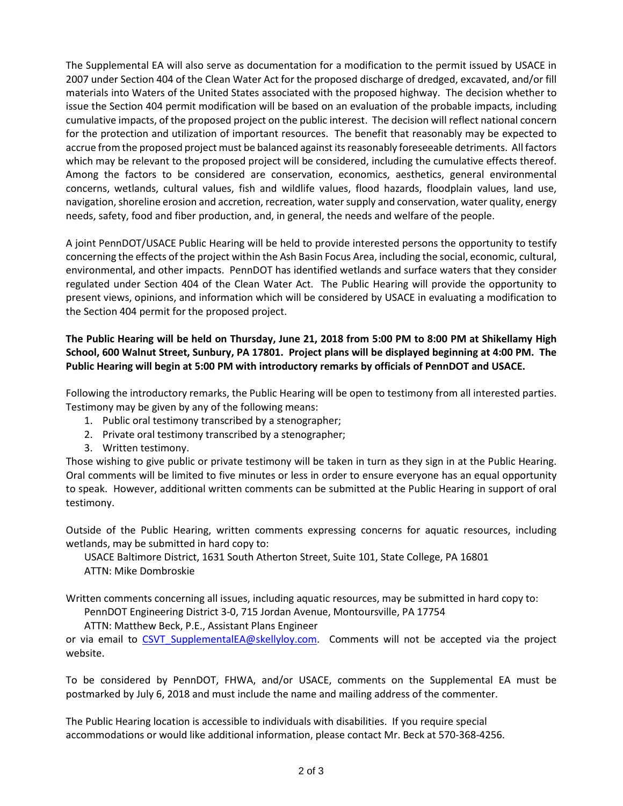The Supplemental EA will also serve as documentation for a modification to the permit issued by USACE in 2007 under Section 404 of the Clean Water Act for the proposed discharge of dredged, excavated, and/or fill materials into Waters of the United States associated with the proposed highway. The decision whether to issue the Section 404 permit modification will be based on an evaluation of the probable impacts, including cumulative impacts, of the proposed project on the public interest. The decision will reflect national concern for the protection and utilization of important resources. The benefit that reasonably may be expected to accrue from the proposed project must be balanced against its reasonably foreseeable detriments. All factors which may be relevant to the proposed project will be considered, including the cumulative effects thereof. Among the factors to be considered are conservation, economics, aesthetics, general environmental concerns, wetlands, cultural values, fish and wildlife values, flood hazards, floodplain values, land use, navigation, shoreline erosion and accretion, recreation, water supply and conservation, water quality, energy needs, safety, food and fiber production, and, in general, the needs and welfare of the people.

A joint PennDOT/USACE Public Hearing will be held to provide interested persons the opportunity to testify concerning the effects of the project within the Ash Basin Focus Area, including the social, economic, cultural, environmental, and other impacts. PennDOT has identified wetlands and surface waters that they consider regulated under Section 404 of the Clean Water Act. The Public Hearing will provide the opportunity to present views, opinions, and information which will be considered by USACE in evaluating a modification to the Section 404 permit for the proposed project.

### **The Public Hearing will be held on Thursday, June 21, 2018 from 5:00 PM to 8:00 PM at Shikellamy High School, 600 Walnut Street, Sunbury, PA 17801. Project plans will be displayed beginning at 4:00 PM. The Public Hearing will begin at 5:00 PM with introductory remarks by officials of PennDOT and USACE.**

Following the introductory remarks, the Public Hearing will be open to testimony from all interested parties. Testimony may be given by any of the following means:

- 1. Public oral testimony transcribed by a stenographer;
- 2. Private oral testimony transcribed by a stenographer;
- 3. Written testimony.

Those wishing to give public or private testimony will be taken in turn as they sign in at the Public Hearing. Oral comments will be limited to five minutes or less in order to ensure everyone has an equal opportunity to speak. However, additional written comments can be submitted at the Public Hearing in support of oral testimony.

Outside of the Public Hearing, written comments expressing concerns for aquatic resources, including wetlands, may be submitted in hard copy to:

USACE Baltimore District, 1631 South Atherton Street, Suite 101, State College, PA 16801 ATTN: Mike Dombroskie

Written comments concerning all issues, including aquatic resources, may be submitted in hard copy to:

PennDOT Engineering District 3-0, 715 Jordan Avenue, Montoursville, PA 17754

ATTN: Matthew Beck, P.E., Assistant Plans Engineer

or via email to CSVT SupplementalEA@skellyloy.com. Comments will not be accepted via the project website.

To be considered by PennDOT, FHWA, and/or USACE, comments on the Supplemental EA must be postmarked by July 6, 2018 and must include the name and mailing address of the commenter.

The Public Hearing location is accessible to individuals with disabilities. If you require special accommodations or would like additional information, please contact Mr. Beck at 570-368-4256.